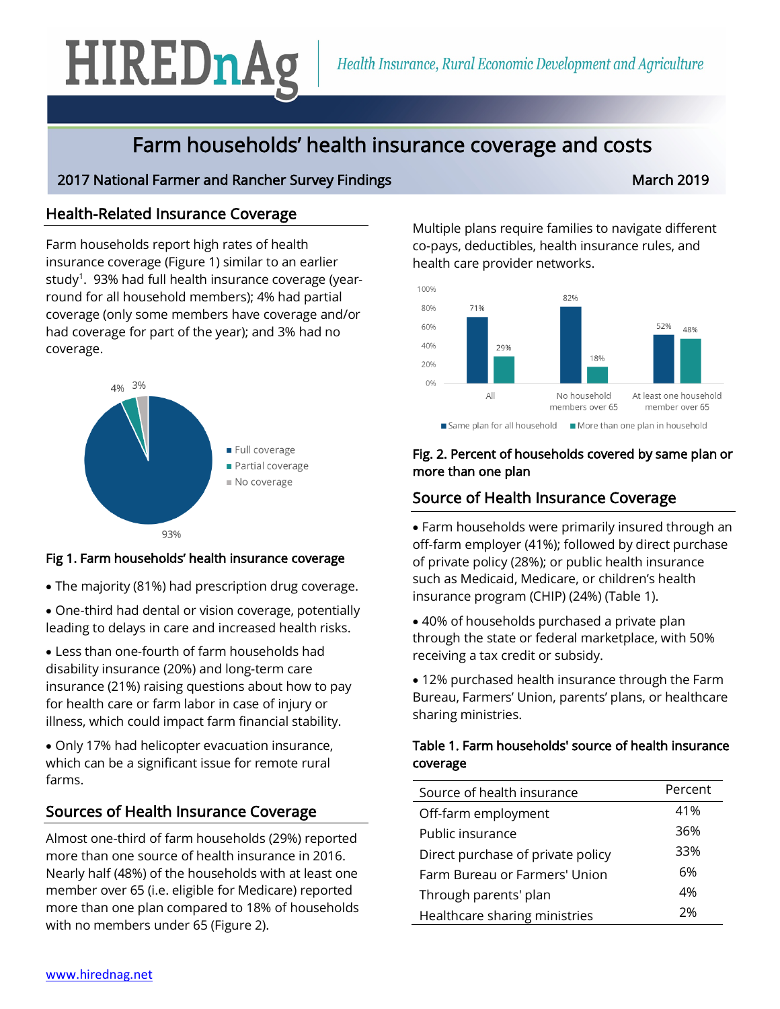# HIREDnAg

# Farm households' health insurance coverage and costs

# 2017 National Farmer and Rancher Survey Findings March 2019 March 2019

# Health-Related Insurance Coverage

Farm households report high rates of health insurance coverage (Figure 1) similar to an earlier study $^1$ . 93% had full health insurance coverage (yearround for all household members); 4% had partial coverage (only some members have coverage and/or had coverage for part of the year); and 3% had no coverage.



#### Fig 1. Farm households' health insurance coverage

- The majority (81%) had prescription drug coverage.
- One-third had dental or vision coverage, potentially leading to delays in care and increased health risks.

• Less than one-fourth of farm households had disability insurance (20%) and long-term care insurance (21%) raising questions about how to pay for health care or farm labor in case of injury or illness, which could impact farm financial stability.

• Only 17% had helicopter evacuation insurance, which can be a significant issue for remote rural farms.

# Sources of Health Insurance Coverage

Almost one-third of farm households (29%) reported more than one source of health insurance in 2016. Nearly half (48%) of the households with at least one member over 65 (i.e. eligible for Medicare) reported more than one plan compared to 18% of households with no members under 65 (Figure 2).

Multiple plans require families to navigate different co-pays, deductibles, health insurance rules, and health care provider networks.



#### Fig. 2. Percent of households covered by same plan or more than one plan

# Source of Health Insurance Coverage

• Farm households were primarily insured through an off-farm employer (41%); followed by direct purchase of private policy (28%); or public health insurance such as Medicaid, Medicare, or children's health insurance program (CHIP) (24%) (Table 1).

• 40% of households purchased a private plan through the state or federal marketplace, with 50% receiving a tax credit or subsidy.

• 12% purchased health insurance through the Farm Bureau, Farmers' Union, parents' plans, or healthcare sharing ministries.

#### Table 1. Farm households' source of health insurance coverage

| Source of health insurance        | Percent |
|-----------------------------------|---------|
| Off-farm employment               | 41%     |
| Public insurance                  | 36%     |
| Direct purchase of private policy | 33%     |
| Farm Bureau or Farmers' Union     | 6%      |
| Through parents' plan             | 4%      |
| Healthcare sharing ministries     | 2%      |